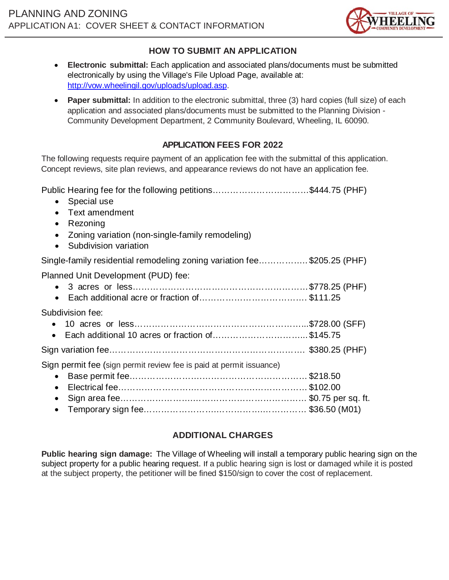

#### **HOW TO SUBMIT AN APPLICATION**

- **Electronic submittal:** Each application and associated plans/documents must be submitted electronically by using the Village's File Upload Page, available at: http://vow.wheelingil.gov/uploads/upload.asp.
- **Paper submittal:** In addition to the electronic submittal, three (3) hard copies (full size) of each application and associated plans/documents must be submitted to the Planning Division - Community Development Department, 2 Community Boulevard, Wheeling, IL 60090.

### **APPLICATION FEES FOR 2022**

The following requests require payment of an application fee with the submittal of this application. Concept reviews, site plan reviews, and appearance reviews do not have an application fee.

Public Hearing fee for the following petitions……………………………\$444.75 (PHF) • Special use • Text amendment • Rezoning • Zoning variation (non-single-family remodeling) • Subdivision variation Single-family residential remodeling zoning variation fee…………….. \$205.25 (PHF) Planned Unit Development (PUD) fee: • 3 acres or less……………………………………………………\$778.25 (PHF) • Each additional acre or fraction of………………………………. \$111.25 Subdivision fee: • 10 acres or less…………………………………………………...\$728.00 (SFF) • Each additional 10 acres or fraction of…………………………... \$145.75 Sign variation fee…………………………………………………………. \$380.25 (PHF) Sign permit fee (sign permit review fee is paid at permit issuance) • Base permit fee…………………….……………………………… \$218.50 • Electrical fee…………………….………………….……………… \$102.00 • Sign area fee…………………….………………………………… \$0.75 per sq. ft.

• Temporary sign fee…………………….…………….…………… \$36.50 (M01)

#### **ADDITIONAL CHARGES**

**Public hearing sign damage:** The Village of Wheeling will install a temporary public hearing sign on the subject property for a public hearing request. If a public hearing sign is lost or damaged while it is posted at the subject property, the petitioner will be fined \$150/sign to cover the cost of replacement.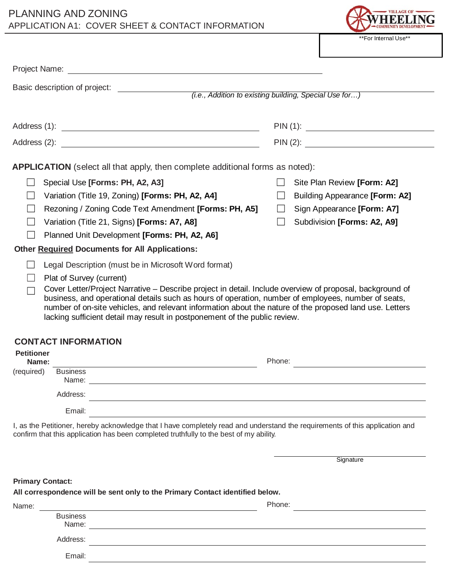# PLANNING AND ZONING APPLICATION A1: COVER SHEET & CONTACT INFORMATION



| Basic description of project:<br><u> 1980 - Jan Barbara Barat, prima popula</u><br><i>(i.e., Addition to existing building, Special Use for)</i>                                                                                                                                                                                                                                                                                                                                             |                                                                                                                                            |  |  |  |
|----------------------------------------------------------------------------------------------------------------------------------------------------------------------------------------------------------------------------------------------------------------------------------------------------------------------------------------------------------------------------------------------------------------------------------------------------------------------------------------------|--------------------------------------------------------------------------------------------------------------------------------------------|--|--|--|
|                                                                                                                                                                                                                                                                                                                                                                                                                                                                                              |                                                                                                                                            |  |  |  |
|                                                                                                                                                                                                                                                                                                                                                                                                                                                                                              |                                                                                                                                            |  |  |  |
|                                                                                                                                                                                                                                                                                                                                                                                                                                                                                              |                                                                                                                                            |  |  |  |
|                                                                                                                                                                                                                                                                                                                                                                                                                                                                                              |                                                                                                                                            |  |  |  |
| APPLICATION (select all that apply, then complete additional forms as noted):                                                                                                                                                                                                                                                                                                                                                                                                                |                                                                                                                                            |  |  |  |
| Special Use [Forms: PH, A2, A3]<br>Variation (Title 19, Zoning) [Forms: PH, A2, A4]<br>Rezoning / Zoning Code Text Amendment [Forms: PH, A5]<br>Variation (Title 21, Signs) [Forms: A7, A8]<br>Planned Unit Development [Forms: PH, A2, A6]                                                                                                                                                                                                                                                  | Site Plan Review [Form: A2]<br>Building Appearance [Form: A2]<br>Sign Appearance [Form: A7]<br>$\mathbf{I}$<br>Subdivision [Forms: A2, A9] |  |  |  |
| <b>Other Required Documents for All Applications:</b>                                                                                                                                                                                                                                                                                                                                                                                                                                        |                                                                                                                                            |  |  |  |
| Legal Description (must be in Microsoft Word format)<br>Plat of Survey (current)<br>Cover Letter/Project Narrative – Describe project in detail. Include overview of proposal, background of<br>business, and operational details such as hours of operation, number of employees, number of seats,<br>number of on-site vehicles, and relevant information about the nature of the proposed land use. Letters<br>lacking sufficient detail may result in postponement of the public review. |                                                                                                                                            |  |  |  |
| <b>CONTACT INFORMATION</b>                                                                                                                                                                                                                                                                                                                                                                                                                                                                   |                                                                                                                                            |  |  |  |
| <b>Petitioner</b><br>Name:                                                                                                                                                                                                                                                                                                                                                                                                                                                                   | Phone:                                                                                                                                     |  |  |  |
| <b>Business</b><br>(required)<br>Name:<br>Address:<br><u> 1980 - Johann Barbara, martxa amerikan personal (h. 1980).</u>                                                                                                                                                                                                                                                                                                                                                                     |                                                                                                                                            |  |  |  |
| Email:                                                                                                                                                                                                                                                                                                                                                                                                                                                                                       |                                                                                                                                            |  |  |  |
| I, as the Petitioner, hereby acknowledge that I have completely read and understand the requirements of this application and<br>confirm that this application has been completed truthfully to the best of my ability.                                                                                                                                                                                                                                                                       |                                                                                                                                            |  |  |  |
|                                                                                                                                                                                                                                                                                                                                                                                                                                                                                              | Signature                                                                                                                                  |  |  |  |
| <b>Primary Contact:</b><br>All correspondence will be sent only to the Primary Contact identified below.<br>Name:                                                                                                                                                                                                                                                                                                                                                                            | Phone:                                                                                                                                     |  |  |  |
| <b>Business</b><br>Name:                                                                                                                                                                                                                                                                                                                                                                                                                                                                     |                                                                                                                                            |  |  |  |
| <u>a sa barang di salah sahiji désa di salah sahiji désa di salah sahiji désa di salah sahiji désa di salah sa</u>                                                                                                                                                                                                                                                                                                                                                                           |                                                                                                                                            |  |  |  |

Address:

Email: